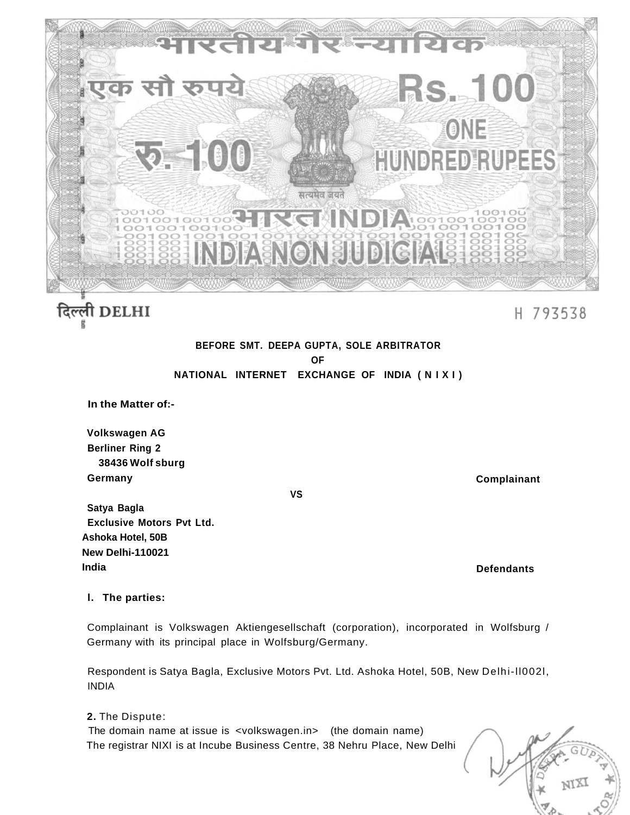

# दिल्ली DELHI

## H 793538

### **BEFORE SMT. DEEPA GUPTA, SOLE ARBITRATOR OF NATIONAL INTERNET EXCHANGE OF INDIA ( N I X I )**

**In the Matter of:-**

**Volkswagen AG Berliner Ring 2 38436 Wolf sburg Germany** 

**Complainant** 

**VS** 

**Satya Bagla Exclusive Motors Pvt Ltd. Ashoka Hotel, 50B New Delhi-110021 India** 

**Defendants** 

#### **l. The parties:**

Complainant is Volkswagen Aktiengesellschaft (corporation), incorporated in Wolfsburg / Germany with its principal place in Wolfsburg/Germany.

Respondent is Satya Bagla, Exclusive Motors Pvt. Ltd. Ashoka Hotel, 50B, New Delhi-ll002l, INDIA

**2.** The Dispute:

The domain name at issue is <volkswagen.in> (the domain name) The registrar NIXI is at Incube Business Centre, 38 Nehru Place, New Delhi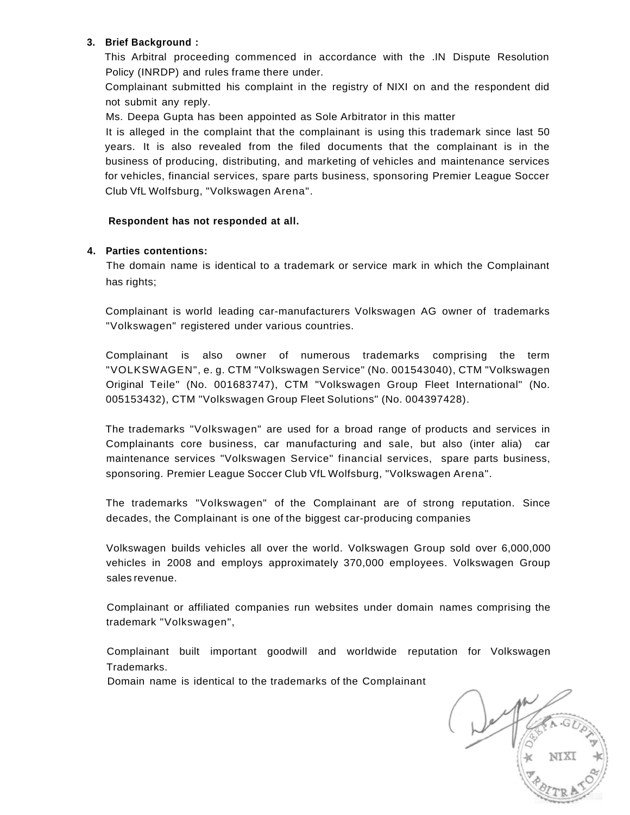#### **3. Brief Background :**

This Arbitral proceeding commenced in accordance with the .IN Dispute Resolution Policy (INRDP) and rules frame there under.

Complainant submitted his complaint in the registry of NIXI on and the respondent did not submit any reply.

Ms. Deepa Gupta has been appointed as Sole Arbitrator in this matter

It is alleged in the complaint that the complainant is using this trademark since last 50 years. It is also revealed from the filed documents that the complainant is in the business of producing, distributing, and marketing of vehicles and maintenance services for vehicles, financial services, spare parts business, sponsoring Premier League Soccer Club VfL Wolfsburg, "Volkswagen Arena".

#### **Respondent has not responded at all.**

#### **4. Parties contentions:**

The domain name is identical to a trademark or service mark in which the Complainant has rights;

Complainant is world leading car-manufacturers Volkswagen AG owner of trademarks "Volkswagen" registered under various countries.

Complainant is also owner of numerous trademarks comprising the term "VOLKSWAGEN", e. g. CTM "Volkswagen Service" (No. 001543040), CTM "Volkswagen Original Teile" (No. 001683747), CTM "Volkswagen Group Fleet International" (No. 005153432), CTM "Volkswagen Group Fleet Solutions" (No. 004397428).

The trademarks "Volkswagen" are used for a broad range of products and services in Complainants core business, car manufacturing and sale, but also (inter alia) car maintenance services "Volkswagen Service" financial services, spare parts business, sponsoring. Premier League Soccer Club VfL Wolfsburg, "Volkswagen Arena".

The trademarks "Volkswagen" of the Complainant are of strong reputation. Since decades, the Complainant is one of the biggest car-producing companies

Volkswagen builds vehicles all over the world. Volkswagen Group sold over 6,000,000 vehicles in 2008 and employs approximately 370,000 employees. Volkswagen Group sales revenue.

Complainant or affiliated companies run websites under domain names comprising the trademark "Volkswagen",

Complainant built important goodwill and worldwide reputation for Volkswagen Trademarks.

Domain name is identical to the trademarks of the Complainant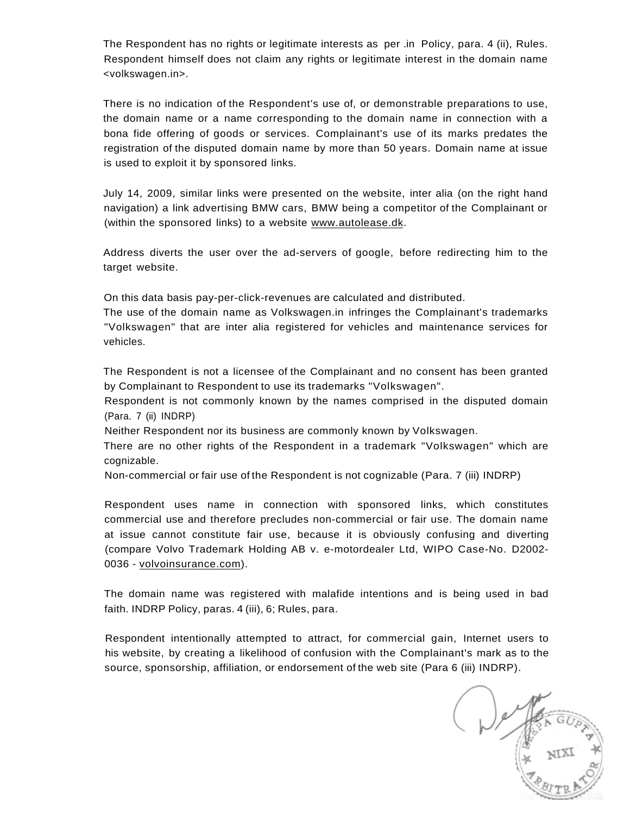The Respondent has no rights or legitimate interests as per .in Policy, para. 4 (ii), Rules. Respondent himself does not claim any rights or legitimate interest in the domain name <volkswagen.in>.

There is no indication of the Respondent's use of, or demonstrable preparations to use, the domain name or a name corresponding to the domain name in connection with a bona fide offering of goods or services. Complainant's use of its marks predates the registration of the disputed domain name by more than 50 years. Domain name at issue is used to exploit it by sponsored links.

July 14, 2009, similar links were presented on the website, inter alia (on the right hand navigation) a link advertising BMW cars, BMW being a competitor of the Complainant or (within the sponsored links) to a website [www.autolease.dk.](http://www.autolease.dk)

Address diverts the user over the ad-servers of google, before redirecting him to the target website.

On this data basis pay-per-click-revenues are calculated and distributed.

The use of the domain name as Volkswagen.in infringes the Complainant's trademarks "Volkswagen" that are inter alia registered for vehicles and maintenance services for vehicles.

The Respondent is not a licensee of the Complainant and no consent has been granted by Complainant to Respondent to use its trademarks "Volkswagen".

Respondent is not commonly known by the names comprised in the disputed domain (Para. 7 (ii) INDRP)

Neither Respondent nor its business are commonly known by Volkswagen.

There are no other rights of the Respondent in a trademark "Volkswagen" which are cognizable.

Non-commercial or fair use of the Respondent is not cognizable (Para. 7 (iii) INDRP)

Respondent uses name in connection with sponsored links, which constitutes commercial use and therefore precludes non-commercial or fair use. The domain name at issue cannot constitute fair use, because it is obviously confusing and diverting (compare Volvo Trademark Holding AB v. e-motordealer Ltd, WIPO Case-No. D2002- 0036 - [volvoinsurance.com\)](http://volvoinsurance.com).

The domain name was registered with malafide intentions and is being used in bad faith. INDRP Policy, paras. 4 (iii), 6; Rules, para.

Respondent intentionally attempted to attract, for commercial gain, Internet users to his website, by creating a likelihood of confusion with the Complainant's mark as to the source, sponsorship, affiliation, or endorsement of the web site (Para 6 (iii) INDRP).

A NIXI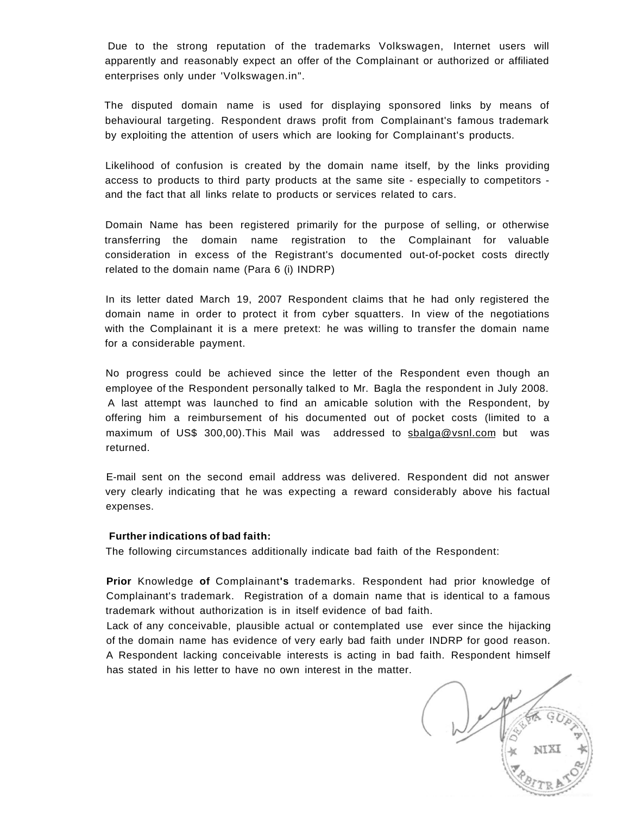Due to the strong reputation of the trademarks Volkswagen, Internet users will apparently and reasonably expect an offer of the Complainant or authorized or affiliated enterprises only under 'Volkswagen.in".

The disputed domain name is used for displaying sponsored links by means of behavioural targeting. Respondent draws profit from Complainant's famous trademark by exploiting the attention of users which are looking for Complainant's products.

Likelihood of confusion is created by the domain name itself, by the links providing access to products to third party products at the same site - especially to competitors and the fact that all links relate to products or services related to cars.

Domain Name has been registered primarily for the purpose of selling, or otherwise transferring the domain name registration to the Complainant for valuable consideration in excess of the Registrant's documented out-of-pocket costs directly related to the domain name (Para 6 (i) INDRP)

In its letter dated March 19, 2007 Respondent claims that he had only registered the domain name in order to protect it from cyber squatters. In view of the negotiations with the Complainant it is a mere pretext: he was willing to transfer the domain name for a considerable payment.

No progress could be achieved since the letter of the Respondent even though an employee of the Respondent personally talked to Mr. Bagla the respondent in July 2008. A last attempt was launched to find an amicable solution with the Respondent, by offering him a reimbursement of his documented out of pocket costs (limited to a maximum of US\$ 300,00). This Mail was addressed to sbalga@vsnl.com but was returned.

E-mail sent on the second email address was delivered. Respondent did not answer very clearly indicating that he was expecting a reward considerably above his factual expenses.

#### **Further indications of bad faith:**

The following circumstances additionally indicate bad faith of the Respondent:

**Prior** Knowledge **of** Complainant**'s** trademarks. Respondent had prior knowledge of Complainant's trademark. Registration of a domain name that is identical to a famous trademark without authorization is in itself evidence of bad faith.

Lack of any conceivable, plausible actual or contemplated use ever since the hijacking of the domain name has evidence of very early bad faith under INDRP for good reason. A Respondent lacking conceivable interests is acting in bad faith. Respondent himself has stated in his letter to have no own interest in the matter.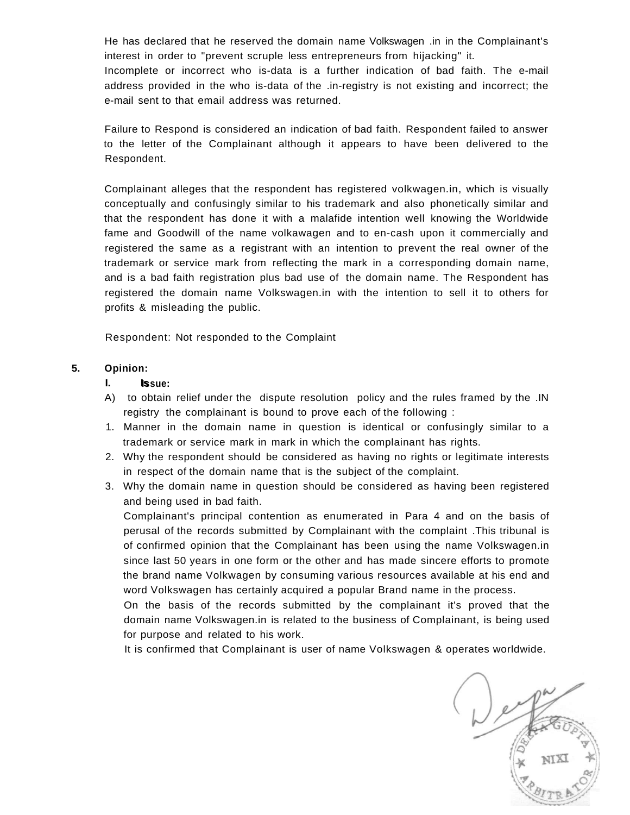He has declared that he reserved the domain name Volkswagen .in in the Complainant's interest in order to "prevent scruple less entrepreneurs from hijacking" it. Incomplete or incorrect who is-data is a further indication of bad faith. The e-mail address provided in the who is-data of the .in-registry is not existing and incorrect; the e-mail sent to that email address was returned.

Failure to Respond is considered an indication of bad faith. Respondent failed to answer to the letter of the Complainant although it appears to have been delivered to the Respondent.

Complainant alleges that the respondent has registered volkwagen.in, which is visually conceptually and confusingly similar to his trademark and also phonetically similar and that the respondent has done it with a malafide intention well knowing the Worldwide fame and Goodwill of the name volkawagen and to en-cash upon it commercially and registered the same as a registrant with an intention to prevent the real owner of the trademark or service mark from reflecting the mark in a corresponding domain name, and is a bad faith registration plus bad use of the domain name. The Respondent has registered the domain name Volkswagen.in with the intention to sell it to others for profits & misleading the public.

Respondent: Not responded to the Complaint

#### **5. Opinion:**

#### **I.** Issue:

- A) to obtain relief under the dispute resolution policy and the rules framed by the .IN registry the complainant is bound to prove each of the following :
- 1. Manner in the domain name in question is identical or confusingly similar to a trademark or service mark in mark in which the complainant has rights.
- 2. Why the respondent should be considered as having no rights or legitimate interests in respect of the domain name that is the subject of the complaint.
- 3. Why the domain name in question should be considered as having been registered and being used in bad faith.

Complainant's principal contention as enumerated in Para 4 and on the basis of perusal of the records submitted by Complainant with the complaint .This tribunal is of confirmed opinion that the Complainant has been using the name Volkswagen.in since last 50 years in one form or the other and has made sincere efforts to promote the brand name Volkwagen by consuming various resources available at his end and word Volkswagen has certainly acquired a popular Brand name in the process.

On the basis of the records submitted by the complainant it's proved that the domain name Volkswagen.in is related to the business of Complainant, is being used for purpose and related to his work.

It is confirmed that Complainant is user of name Volkswagen & operates worldwide.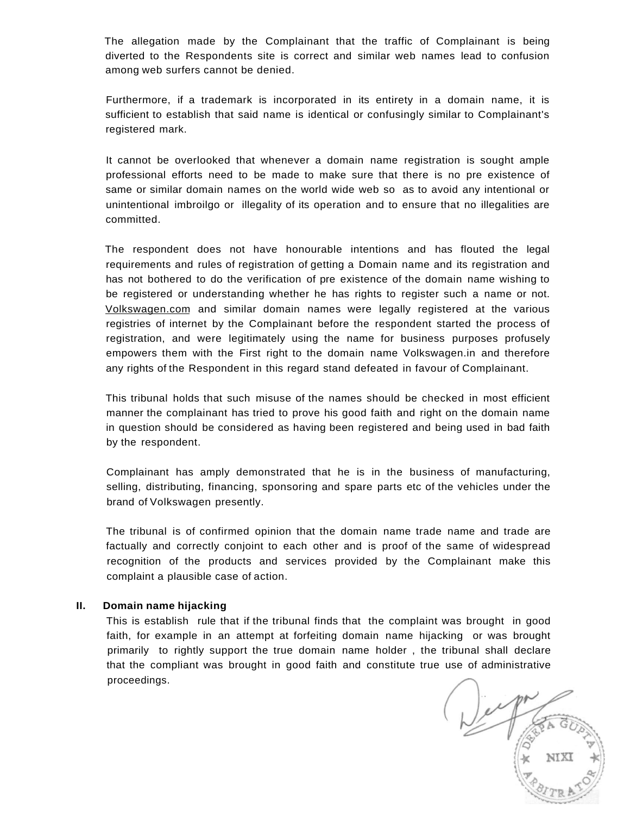The allegation made by the Complainant that the traffic of Complainant is being diverted to the Respondents site is correct and similar web names lead to confusion among web surfers cannot be denied.

Furthermore, if a trademark is incorporated in its entirety in a domain name, it is sufficient to establish that said name is identical or confusingly similar to Complainant's registered mark.

It cannot be overlooked that whenever a domain name registration is sought ample professional efforts need to be made to make sure that there is no pre existence of same or similar domain names on the world wide web so as to avoid any intentional or unintentional imbroilgo or illegality of its operation and to ensure that no illegalities are committed.

The respondent does not have honourable intentions and has flouted the legal requirements and rules of registration of getting a Domain name and its registration and has not bothered to do the verification of pre existence of the domain name wishing to be registered or understanding whether he has rights to register such a name or not. [Volkswagen.com a](http://Volkswagen.com)nd similar domain names were legally registered at the various registries of internet by the Complainant before the respondent started the process of registration, and were legitimately using the name for business purposes profusely empowers them with the First right to the domain name Volkswagen.in and therefore any rights of the Respondent in this regard stand defeated in favour of Complainant.

This tribunal holds that such misuse of the names should be checked in most efficient manner the complainant has tried to prove his good faith and right on the domain name in question should be considered as having been registered and being used in bad faith by the respondent.

Complainant has amply demonstrated that he is in the business of manufacturing, selling, distributing, financing, sponsoring and spare parts etc of the vehicles under the brand of Volkswagen presently.

The tribunal is of confirmed opinion that the domain name trade name and trade are factually and correctly conjoint to each other and is proof of the same of widespread recognition of the products and services provided by the Complainant make this complaint a plausible case of action.

#### **II. Domain name hijacking**

This is establish rule that if the tribunal finds that the complaint was brought in good faith, for example in an attempt at forfeiting domain name hijacking or was brought primarily to rightly support the true domain name holder , the tribunal shall declare that the compliant was brought in good faith and constitute true use of administrative proceedings.